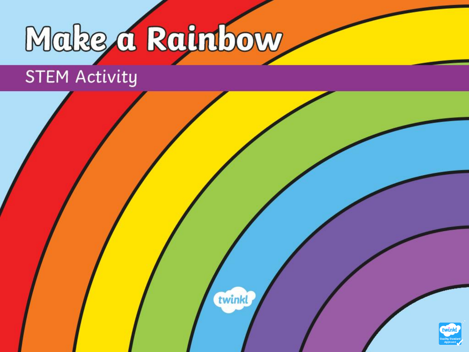# Make a Rainbow

twinkl

## STEM Activity

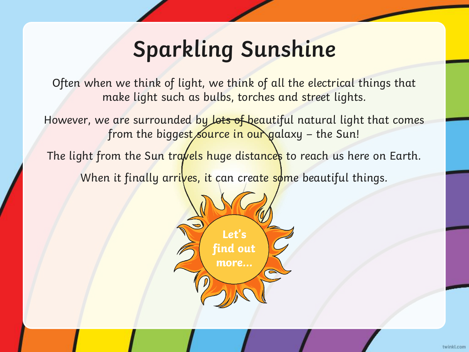### **Sparkling Sunshine**

Often when we think of light, we think of all the electrical things that make light such as bulbs, torches and street lights.

However, we are surrounded by lots of beautiful natural light that comes from the biggest source in our galaxy – the Sun!

The light from the Sun travels huge distances to reach us here on Earth. When it finally arrives, it can create some beautiful things.

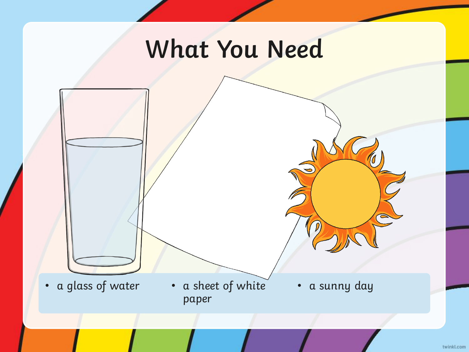## **What You Need**

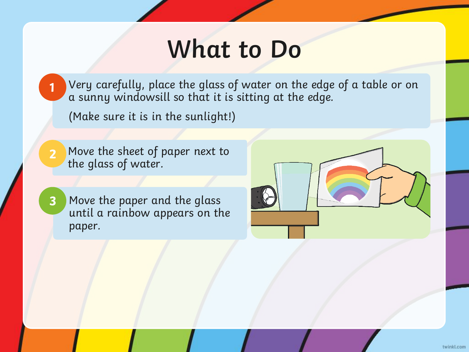### **What to Do**

Very carefully, place the glass of water on the edge of a table or on a sunny windowsill so that it is sitting at the edge.

(Make sure it is in the sunlight!)

Move the sheet of paper next to the glass of water. **2**

**1**

Move the paper and the glass until a rainbow appears on the paper. **3**

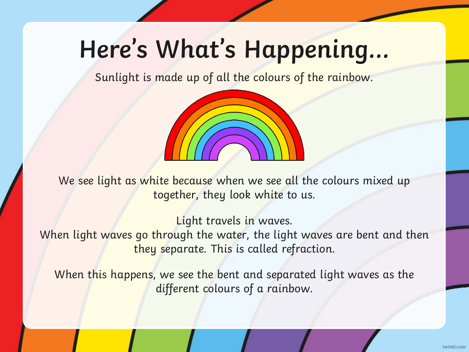# **Here's What's Happening…**

Sunlight is made up of all the colours of the rainbow.



We see light as white because when we see all the colours mixed up together, they look white to us.

Light travels in waves.

When light waves go through the water, the light waves are bent and then they separate. This is called refraction.

When this happens, we see the bent and separated light waves as the different colours of a rainbow.